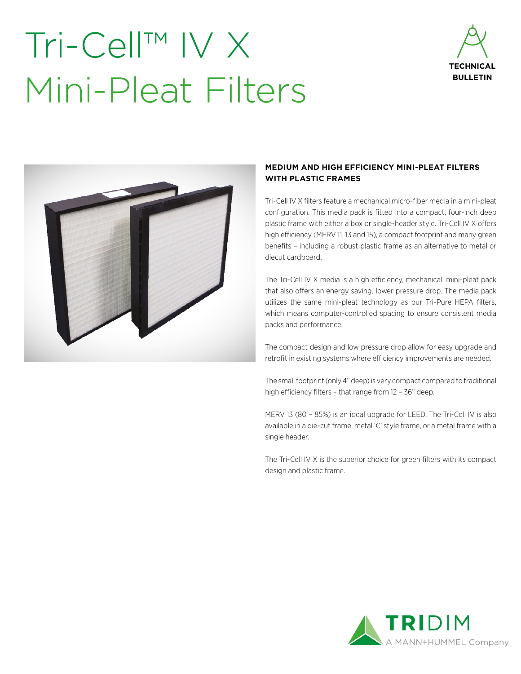## Tri-Cell™ IV X Mini-Pleat Filters





#### **MEDIUM AND HIGH EFFICIENCY MINI-PLEAT FILTERS WITH PLASTIC FRAMES**

Tri-Cell IV X filters feature a mechanical micro-fiber media in a mini-pleat configuration. This media pack is fitted into a compact, four-inch deep plastic frame with either a box or single-header style. Tri-Cell IV X offers high efficiency (MERV 11, 13 and 15), a compact footprint and many green benefits – including a robust plastic frame as an alternative to metal or diecut cardboard.

The Tri-Cell IV X media is a high efficiency, mechanical, mini-pleat pack that also offers an energy saving. lower pressure drop. The media pack utilizes the same mini-pleat technology as our Tri-Pure HEPA filters, which means computer-controlled spacing to ensure consistent media packs and performance.

The compact design and low pressure drop allow for easy upgrade and retrofit in existing systems where efficiency improvements are needed.

The small footprint (only 4" deep) is very compact compared to traditional high efficiency filters – that range from 12 – 36" deep.

MERV 13 (80 – 85%) is an ideal upgrade for LEED. The Tri-Cell IV is also available in a die-cut frame, metal 'C' style frame, or a metal frame with a single header.

The Tri-Cell IV X is the superior choice for green filters with its compact design and plastic frame.